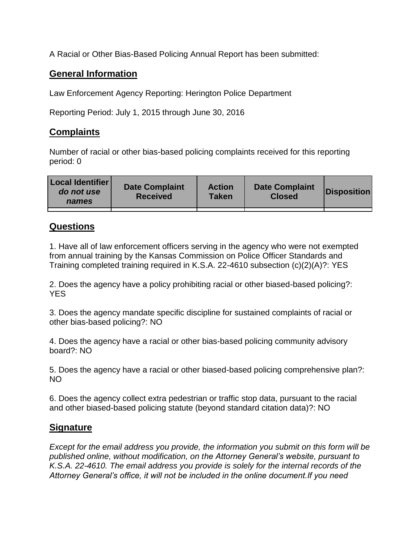A Racial or Other Bias-Based Policing Annual Report has been submitted:

## **General Information**

Law Enforcement Agency Reporting: Herington Police Department

Reporting Period: July 1, 2015 through June 30, 2016

## **Complaints**

Number of racial or other bias-based policing complaints received for this reporting period: 0

| <b>Local Identifier</b><br>do not use<br>names | <b>Date Complaint</b><br><b>Received</b> | <b>Action</b><br><b>Taken</b> | <b>Date Complaint</b><br><b>Closed</b> | Disposition |
|------------------------------------------------|------------------------------------------|-------------------------------|----------------------------------------|-------------|
|                                                |                                          |                               |                                        |             |

## **Questions**

1. Have all of law enforcement officers serving in the agency who were not exempted from annual training by the Kansas Commission on Police Officer Standards and Training completed training required in K.S.A. 22-4610 subsection (c)(2)(A)?: YES

2. Does the agency have a policy prohibiting racial or other biased-based policing?: YES

3. Does the agency mandate specific discipline for sustained complaints of racial or other bias-based policing?: NO

4. Does the agency have a racial or other bias-based policing community advisory board?: NO

5. Does the agency have a racial or other biased-based policing comprehensive plan?: NO

6. Does the agency collect extra pedestrian or traffic stop data, pursuant to the racial and other biased-based policing statute (beyond standard citation data)?: NO

## **Signature**

*Except for the email address you provide, the information you submit on this form will be published online, without modification, on the Attorney General's website, pursuant to K.S.A. 22-4610. The email address you provide is solely for the internal records of the Attorney General's office, it will not be included in the online document.If you need*